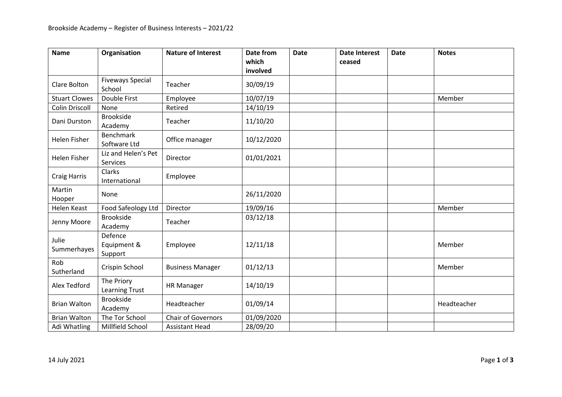| <b>Name</b>           | Organisation                        | <b>Nature of Interest</b> | <b>Date from</b>  | <b>Date</b> | <b>Date Interest</b> | <b>Date</b> | <b>Notes</b> |
|-----------------------|-------------------------------------|---------------------------|-------------------|-------------|----------------------|-------------|--------------|
|                       |                                     |                           | which<br>involved |             | ceased               |             |              |
|                       |                                     |                           |                   |             |                      |             |              |
| Clare Bolton          | <b>Fiveways Special</b><br>School   | Teacher                   | 30/09/19          |             |                      |             |              |
| <b>Stuart Clowes</b>  | Double First                        | Employee                  | 10/07/19          |             |                      |             | Member       |
| <b>Colin Driscoll</b> | None                                | Retired                   | 14/10/19          |             |                      |             |              |
| Dani Durston          | <b>Brookside</b><br>Academy         | Teacher                   | 11/10/20          |             |                      |             |              |
| <b>Helen Fisher</b>   | <b>Benchmark</b><br>Software Ltd    | Office manager            | 10/12/2020        |             |                      |             |              |
| Helen Fisher          | Liz and Helen's Pet<br>Services     | Director                  | 01/01/2021        |             |                      |             |              |
| <b>Craig Harris</b>   | Clarks<br>International             | Employee                  |                   |             |                      |             |              |
| Martin<br>Hooper      | None                                |                           | 26/11/2020        |             |                      |             |              |
| <b>Helen Keast</b>    | Food Safeology Ltd                  | Director                  | 19/09/16          |             |                      |             | Member       |
| Jenny Moore           | <b>Brookside</b><br>Academy         | Teacher                   | 03/12/18          |             |                      |             |              |
| Julie<br>Summerhayes  | Defence<br>Equipment &<br>Support   | Employee                  | 12/11/18          |             |                      |             | Member       |
| Rob<br>Sutherland     | Crispin School                      | <b>Business Manager</b>   | 01/12/13          |             |                      |             | Member       |
| Alex Tedford          | The Priory<br><b>Learning Trust</b> | <b>HR Manager</b>         | 14/10/19          |             |                      |             |              |
| <b>Brian Walton</b>   | <b>Brookside</b><br>Academy         | Headteacher               | 01/09/14          |             |                      |             | Headteacher  |
| <b>Brian Walton</b>   | The Tor School                      | Chair of Governors        | 01/09/2020        |             |                      |             |              |
| Adi Whatling          | Millfield School                    | <b>Assistant Head</b>     | 28/09/20          |             |                      |             |              |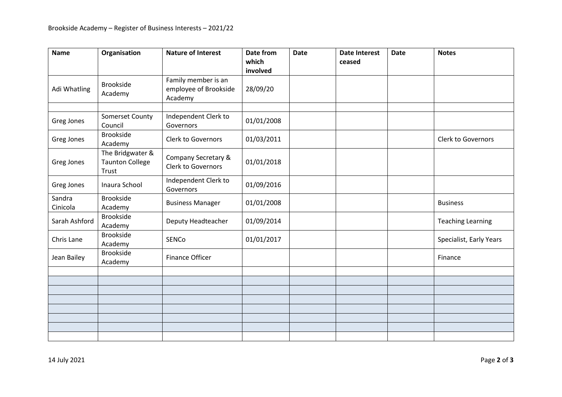| <b>Name</b>        | Organisation                                        | <b>Nature of Interest</b>                               | Date from<br>which | <b>Date</b> | <b>Date Interest</b><br>ceased | <b>Date</b> | <b>Notes</b>              |
|--------------------|-----------------------------------------------------|---------------------------------------------------------|--------------------|-------------|--------------------------------|-------------|---------------------------|
|                    |                                                     |                                                         | involved           |             |                                |             |                           |
| Adi Whatling       | <b>Brookside</b><br>Academy                         | Family member is an<br>employee of Brookside<br>Academy | 28/09/20           |             |                                |             |                           |
|                    |                                                     |                                                         |                    |             |                                |             |                           |
| Greg Jones         | Somerset County<br>Council                          | Independent Clerk to<br>Governors                       | 01/01/2008         |             |                                |             |                           |
| Greg Jones         | <b>Brookside</b><br>Academy                         | Clerk to Governors                                      | 01/03/2011         |             |                                |             | <b>Clerk to Governors</b> |
| Greg Jones         | The Bridgwater &<br><b>Taunton College</b><br>Trust | Company Secretary &<br>Clerk to Governors               | 01/01/2018         |             |                                |             |                           |
| Greg Jones         | Inaura School                                       | Independent Clerk to<br>Governors                       | 01/09/2016         |             |                                |             |                           |
| Sandra<br>Cinicola | <b>Brookside</b><br>Academy                         | <b>Business Manager</b>                                 | 01/01/2008         |             |                                |             | <b>Business</b>           |
| Sarah Ashford      | <b>Brookside</b><br>Academy                         | Deputy Headteacher                                      | 01/09/2014         |             |                                |             | <b>Teaching Learning</b>  |
| Chris Lane         | <b>Brookside</b><br>Academy                         | SENCo                                                   | 01/01/2017         |             |                                |             | Specialist, Early Years   |
| Jean Bailey        | <b>Brookside</b><br>Academy                         | <b>Finance Officer</b>                                  |                    |             |                                |             | Finance                   |
|                    |                                                     |                                                         |                    |             |                                |             |                           |
|                    |                                                     |                                                         |                    |             |                                |             |                           |
|                    |                                                     |                                                         |                    |             |                                |             |                           |
|                    |                                                     |                                                         |                    |             |                                |             |                           |
|                    |                                                     |                                                         |                    |             |                                |             |                           |
|                    |                                                     |                                                         |                    |             |                                |             |                           |
|                    |                                                     |                                                         |                    |             |                                |             |                           |